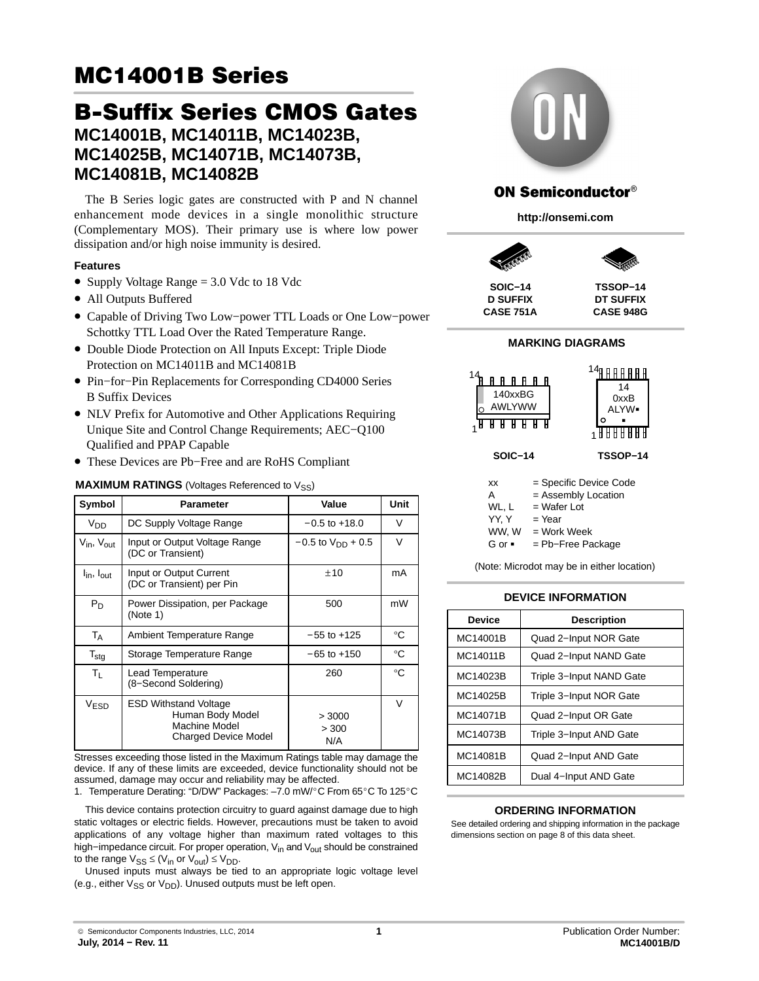## B-Suffix Series CMOS Gates **MC14001B, MC14011B, MC14023B, MC14025B, MC14071B, MC14073B, MC14081B, MC14082B**

The B Series logic gates are constructed with P and N channel enhancement mode devices in a single monolithic structure (Complementary MOS). Their primary use is where low power dissipation and/or high noise immunity is desired.

#### **Features**

- Supply Voltage Range = 3.0 Vdc to 18 Vdc
- All Outputs Buffered
- Capable of Driving Two Low−power TTL Loads or One Low−power Schottky TTL Load Over the Rated Temperature Range.
- Double Diode Protection on All Inputs Except: Triple Diode Protection on MC14011B and MC14081B
- Pin−for−Pin Replacements for Corresponding CD4000 Series B Suffix Devices
- NLV Prefix for Automotive and Other Applications Requiring Unique Site and Control Change Requirements; AEC−Q100 Qualified and PPAP Capable
- These Devices are Pb−Free and are RoHS Compliant

## **MAXIMUM RATINGS** (Voltages Referenced to V<sub>SS</sub>)

| Symbol                             | <b>Parameter</b>                                                                                 | Value                    | Unit         |
|------------------------------------|--------------------------------------------------------------------------------------------------|--------------------------|--------------|
| V <sub>DD</sub>                    | DC Supply Voltage Range                                                                          | $-0.5$ to $+18.0$        | V            |
| $V_{\text{in}}$ , $V_{\text{out}}$ | Input or Output Voltage Range<br>(DC or Transient)                                               | $-0.5$ to $V_{DD}$ + 0.5 | $\vee$       |
| $I_{\text{in}}$ , $I_{\text{out}}$ | Input or Output Current<br>(DC or Transient) per Pin                                             | ±10                      | mA           |
| $P_D$                              | Power Dissipation, per Package<br>(Note 1)                                                       | 500                      | mW           |
| $T_A$                              | Ambient Temperature Range                                                                        | $-55$ to $+125$          | $^{\circ}C$  |
| $T_{\text{stg}}$                   | Storage Temperature Range                                                                        | $-65$ to $+150$          | $^{\circ}C$  |
| $T_{L}$                            | Lead Temperature<br>(8-Second Soldering)                                                         | 260                      | $^{\circ}$ C |
| <b>VESD</b>                        | <b>ESD Withstand Voltage</b><br>Human Body Model<br>Machine Model<br><b>Charged Device Model</b> | > 3000<br>> 300<br>N/A   | $\vee$       |

Stresses exceeding those listed in the Maximum Ratings table may damage the device. If any of these limits are exceeded, device functionality should not be assumed, damage may occur and reliability may be affected.

assumed, damage may occur and reliability may be allected.<br>1. Temperature Derating: "D/DW" Packages: –7.0 mW/°C From 65°C To 125°C

This device contains protection circuitry to guard against damage due to high static voltages or electric fields. However, precautions must be taken to avoid applications of any voltage higher than maximum rated voltages to this high–impedance circuit. For proper operation, V<sub>in</sub> and V<sub>out</sub> should be constrained to the range  $V_{SS} \leq (V_{in} \text{ or } V_{out}) \leq V_{DD}$ .

Unused inputs must always be tied to an appropriate logic voltage level (e.g., either  $V_{SS}$  or  $V_{DD}$ ). Unused outputs must be left open.



## **ON Semiconductor®**

**http://onsemi.com**



**D SUFFIX CASE 751A**

**CASE 948G**

#### **MARKING DIAGRAMS**



| А      | = Assembly Location |
|--------|---------------------|
| WL. L  | $=$ Wafer Lot       |
| YY.Y   | $=$ Year            |
| WW. W  | = Work Week         |
| G or ■ | $=$ Pb-Free Package |

(Note: Microdot may be in either location)

#### **DEVICE INFORMATION**

| Device   | <b>Description</b>       |  |  |  |
|----------|--------------------------|--|--|--|
| MC14001B | Quad 2-Input NOR Gate    |  |  |  |
| MC14011B | Quad 2-Input NAND Gate   |  |  |  |
| MC14023B | Triple 3-Input NAND Gate |  |  |  |
| MC14025B | Triple 3-Input NOR Gate  |  |  |  |
| MC14071B | Quad 2-Input OR Gate     |  |  |  |
| MC14073B | Triple 3-Input AND Gate  |  |  |  |
| MC14081B | Quad 2-Input AND Gate    |  |  |  |
| MC14082B | Dual 4-Input AND Gate    |  |  |  |

#### **ORDERING INFORMATION**

See detailed ordering and shipping information in the package dimensions section on page [8](#page-7-0) of this data sheet.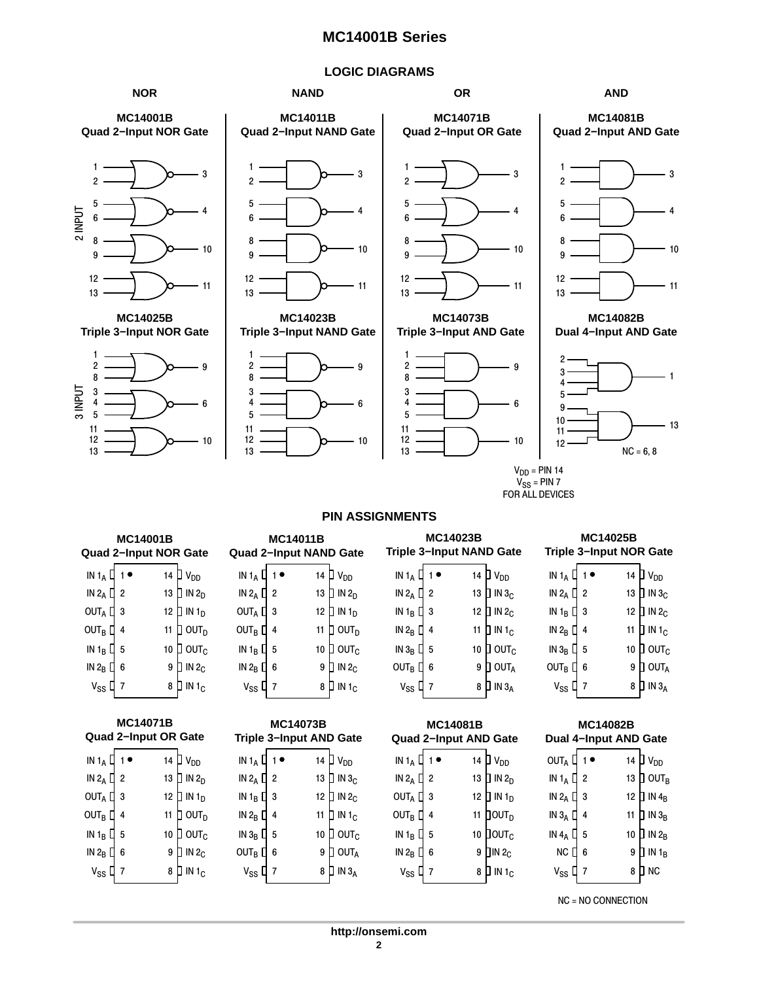## **LOGIC DIAGRAMS**



|                            | <b>MC14001B</b><br><b>Quad 2-Input NOR Gate</b> |                             |                                                 | <b>MC14011B</b><br><b>Quad 2-Input NAND Gate</b> |                             |                                                 | <b>MC14023B</b><br><b>Triple 3-Input NAND Gate</b> |                             |                            | <b>MC14025B</b><br><b>Triple 3-Input NOR Gate</b> |                             |
|----------------------------|-------------------------------------------------|-----------------------------|-------------------------------------------------|--------------------------------------------------|-----------------------------|-------------------------------------------------|----------------------------------------------------|-----------------------------|----------------------------|---------------------------------------------------|-----------------------------|
| $IN 1_A \nightharpoonup 1$ |                                                 | 14 $\Box$ $V_{DD}$          | IN $1_A$ $\begin{bmatrix} 1 \\ 1 \end{bmatrix}$ |                                                  | 14 $\Box$ $V_{DD}$          | IN $1_A$ $\begin{bmatrix} 1 \\ 1 \end{bmatrix}$ |                                                    | 14 $\Box$ $V_{DD}$          | $IN 1_A \nightharpoonup 1$ |                                                   | 14 $\Box$ V <sub>DD</sub>   |
| IN 2 <sub>A</sub> $\Box$ 2 |                                                 | 13 $\Box$ IN 2 <sub>D</sub> | IN $2_A \Box 2$                                 |                                                  | 13 $\Box$ IN 2 <sub>D</sub> | IN 2 <sub>A</sub> $\Box$ 2                      |                                                    | 13 $\Box$ IN 3 <sub>C</sub> | IN 2 <sub>A</sub> $\Box$ 2 |                                                   | 13 $\Box$ IN 3 <sub>C</sub> |
| OUT <sub>A</sub> $\Box$ 3  |                                                 | 12 $\Box$ IN 1 <sub>D</sub> | OUT <sub>A</sub> $\Box$ 3                       |                                                  | 12 $\Box$ IN 1 <sub>D</sub> | IN 1 <sub>B</sub> $\Box$ 3                      |                                                    | 12 $\Box$ IN 2 <sub>C</sub> | IN 1 <sub>B</sub> $\Box$ 3 |                                                   | 12 $\Box$ IN 2 <sub>C</sub> |
| OUT <sub>B</sub> $\Box$ 4  |                                                 | 11 $\Box$ OUT <sub>D</sub>  | OUT <sub>B</sub> $\Box$ 4                       |                                                  | 11 $\Box$ OUT <sub>D</sub>  | IN 2 <sub>B</sub> $\Box$ 4                      |                                                    | 11 $\Box$ IN 1 <sub>C</sub> | IN 2 <sub>B</sub> $\Box$ 4 |                                                   | 11 $\Box$ IN 1 <sub>C</sub> |
| IN 1 <sub>B</sub> $\Box$ 5 |                                                 | 10 $\Box$ OUT <sub>C</sub>  | IN 1 <sub>B</sub> $\Box$ 5                      |                                                  | 10 $\Box$ OUT <sub>C</sub>  | IN $3_B$ $\Box$ 5                               |                                                    | 10 $\Box$ OUT <sub>C</sub>  | IN $3_B$ [ 5               |                                                   | 10 $\Box$ OUT <sub>C</sub>  |
| IN 2 <sub>B</sub> $\Box$ 6 |                                                 | $9$ J IN 2 <sub>C</sub>     | IN $2_B$ $\Box$ 6                               |                                                  | $9$ D IN 2 <sub>C</sub>     | OUT <sub>B</sub> $\Box$ 6                       |                                                    | $9$ OUT <sub>A</sub>        | OUT <sub>B</sub> $\Box$ 6  |                                                   | $9$ OUT <sub>A</sub>        |
| $V_{SS}$ $\Box$ 7          |                                                 | 8 $\Box$ IN 1 <sub>C</sub>  | $V_{SS}$ $\Gamma$ 7                             |                                                  | 8 $\Box$ IN 1 <sub>C</sub>  | $V_{SS}$ $\Box$ 7                               |                                                    | $8$ D IN $3_A$              | $V_{SS}$ $\Box$ 7          |                                                   | 8 $\Box$ IN 3 <sub>A</sub>  |

| <b>Quad 2-Input OR Gate</b> | Triple 3       |    |                  |                     |
|-----------------------------|----------------|----|------------------|---------------------|
| IN $1_A$ $\Box$             |                | 14 | V <sub>DD</sub>  | IN 1 <sub>A</sub>   |
| IN 2 $_{\mathsf{A}}$ $\Box$ | $\overline{2}$ | 13 | $\Box$ IN 2 $_D$ | IN $2_A L$          |
| out <sub>a</sub> [          | 3              | 12 | ח IN 1ח          | IN 1 <sub>B</sub> L |
| out <sub>b</sub> [          | 4              | 11 | OUT <sub>D</sub> | IN $2_B$            |
| IN 1 $_{\rm B}$ [           | 5              | 10 | OUT <sub>C</sub> | IN 3 <sub>B</sub>   |
| IN $2_B$ $\Box$             | 6              | 9  | IN $2c$          | <b>OUTR</b>         |
| V <sub>SS</sub>             |                | 8  | IN $1c$          | V <sub>SS</sub>     |

| MC14073B<br>Triple 3–Input AND Gate |   |    |                                              |  |  |  |
|-------------------------------------|---|----|----------------------------------------------|--|--|--|
| IN $1_A$ $\Box$                     |   | 14 | V <sub>DD</sub>                              |  |  |  |
| IN $2_A \square$ 2                  |   | 13 | $\overline{\mathsf{I}}$ in 3 $_{\mathsf{C}}$ |  |  |  |
| IN 1 $_B$ [                         | 3 | 12 | IN <sub>c</sub>                              |  |  |  |
| IN 2 $_B$ $\Box$                    | 4 | 11 | IN1 <sub>C</sub><br>I                        |  |  |  |
| in $3_B$ [                          | 5 | 10 | $1$ out $_{\rm c}$                           |  |  |  |
| $OUTB$ [                            | 6 | 9  | OUTA                                         |  |  |  |
| V <sub>SS</sub>                     |   | 8  | IN 3 <sub>A</sub>                            |  |  |  |

| <b>MC14081B</b><br><b>Quad 2-Input AND Gate</b> |                |    |                                         |  |  |  |
|-------------------------------------------------|----------------|----|-----------------------------------------|--|--|--|
| IN $1_A$ $\Box$                                 |                | 14 | $\mathsf{D}$ v <sub>dd</sub>            |  |  |  |
| IN $2_A$ $\Box$                                 | $\overline{2}$ |    | 13 $\overline{)}$ IN 2 <sub>D</sub>     |  |  |  |
| OUT <sub>A</sub>                                | 3              | 12 | $\,$ IN 1 $_{\tiny \text{D}}$           |  |  |  |
| $OUTB$ $[$                                      | 4              | 11 | ]out <sub>d</sub>                       |  |  |  |
| $IN 1_B$                                        |                |    | $\overline{\texttt{Down}}_{\texttt{C}}$ |  |  |  |

8 | IN 1<sub>C</sub> 9  $\,$  JIN 2 $_{\rm C}$ 

| vss ч<br>$\overline{ }$ |                          | ο μ ιν ο <sub>Α</sub>                                        |
|-------------------------|--------------------------|--------------------------------------------------------------|
|                         |                          |                                                              |
|                         | 14                       | V <sub>DD</sub>                                              |
| $\overline{2}$          | 13                       | $\,$ ] ουτ $_{\rm B}$                                        |
| 3                       | 12                       | $\overline{\phantom{a}}$ IN 4 <sub>B</sub>                   |
| 4                       | 11                       | $\frac{1}{2}$ IN $3_B$                                       |
| 5                       | 10                       | $\overline{\phantom{a}}$ in $\overline{\phantom{a}}_{\rm B}$ |
| 6                       | 9                        | IN 1 <sub>B</sub>                                            |
|                         | 8                        | NC                                                           |
|                         | IN 1 <sub>A</sub> $\Box$ | <b>MC14082B</b><br>Dual 4-Input AND Gate                     |

NC = NO CONNECTION

v<sub>ss</sub> L 7 IN 2 $_{\rm B}$  [ 6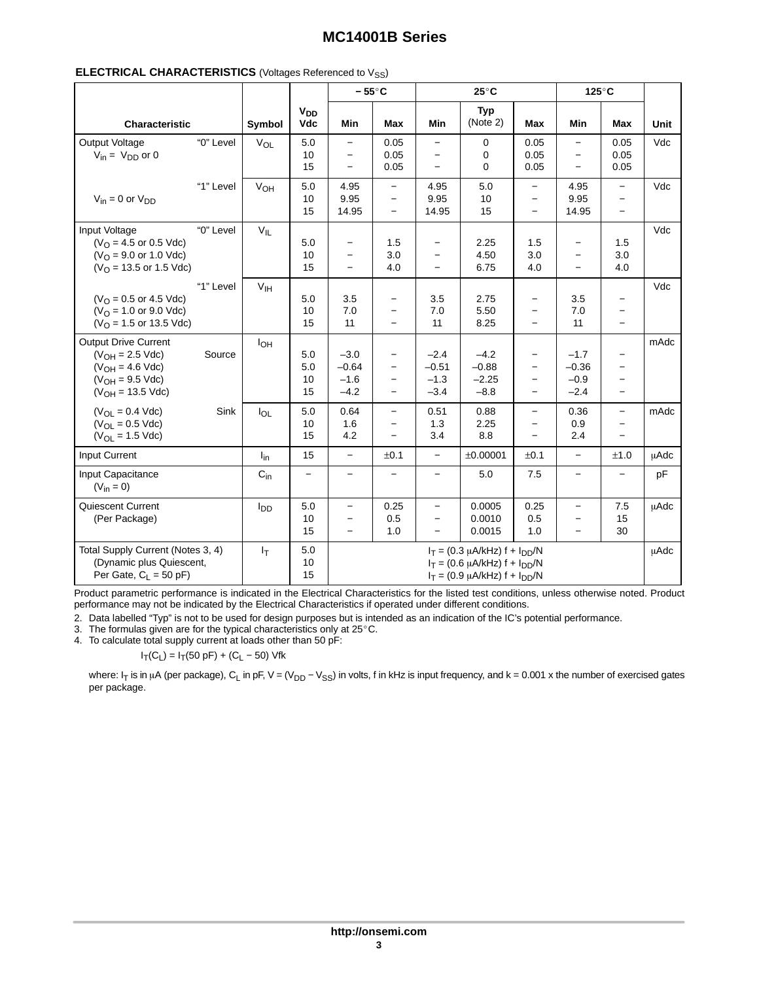| <b>ELECTRICAL CHARACTERISTICS</b> (Voltages Referenced to V <sub>SS</sub> ) |  |  |  |  |
|-----------------------------------------------------------------------------|--|--|--|--|
|-----------------------------------------------------------------------------|--|--|--|--|

|                                                                                                                              |           |                 |                                     | $-55^{\circ}$ C                                      |                                                                                                              |                                                                           | $25^{\circ}$ C                                                                                                       |                                                                           | 125°C                                                     |                                                                                                              |             |
|------------------------------------------------------------------------------------------------------------------------------|-----------|-----------------|-------------------------------------|------------------------------------------------------|--------------------------------------------------------------------------------------------------------------|---------------------------------------------------------------------------|----------------------------------------------------------------------------------------------------------------------|---------------------------------------------------------------------------|-----------------------------------------------------------|--------------------------------------------------------------------------------------------------------------|-------------|
| <b>Characteristic</b>                                                                                                        |           | Symbol          | <b>V<sub>DD</sub></b><br><b>Vdc</b> | Min                                                  | <b>Max</b>                                                                                                   | Min                                                                       | <b>Typ</b><br>(Note 2)                                                                                               | <b>Max</b>                                                                | <b>Min</b>                                                | <b>Max</b>                                                                                                   | <b>Unit</b> |
| Output Voltage<br>$V_{in} = V_{DD}$ or 0                                                                                     | "0" Level | $V_{OL}$        | 5.0<br>10<br>15                     | $\overline{\phantom{0}}$                             | 0.05<br>0.05<br>0.05                                                                                         | $\qquad \qquad -$<br>$\qquad \qquad -$                                    | 0<br>0<br>0                                                                                                          | 0.05<br>0.05<br>0.05                                                      | $\overline{\phantom{m}}$                                  | 0.05<br>0.05<br>0.05                                                                                         | Vdc         |
| $V_{in} = 0$ or $V_{DD}$                                                                                                     | "1" Level | VOH             | 5.0<br>10<br>15                     | 4.95<br>9.95<br>14.95                                | $\qquad \qquad -$<br>$\equiv$<br>$\overline{\phantom{0}}$                                                    | 4.95<br>9.95<br>14.95                                                     | 5.0<br>10<br>15                                                                                                      | $\overline{\phantom{0}}$<br>$\overline{\phantom{0}}$<br>$\qquad \qquad -$ | 4.95<br>9.95<br>14.95                                     | $\overline{\phantom{0}}$<br>$\overline{\phantom{0}}$<br>$\overline{\phantom{0}}$                             | Vdc         |
| Input Voltage<br>$(VO = 4.5$ or 0.5 Vdc)<br>$(VO = 9.0$ or 1.0 Vdc)<br>$(VO = 13.5$ or 1.5 Vdc)                              | "0" Level | $V_{IL}$        | 5.0<br>10<br>15                     | $\overline{\phantom{0}}$<br>$\overline{a}$           | 1.5<br>3.0<br>4.0                                                                                            | $\qquad \qquad -$<br>$\qquad \qquad -$<br>$\equiv$                        | 2.25<br>4.50<br>6.75                                                                                                 | 1.5<br>3.0<br>4.0                                                         | $\qquad \qquad -$<br>$\overline{\phantom{m}}$<br>$\equiv$ | 1.5<br>3.0<br>4.0                                                                                            | Vdc         |
| $(VO = 0.5$ or 4.5 Vdc)<br>$(VO = 1.0$ or 9.0 Vdc)<br>$(VO = 1.5$ or 13.5 Vdc)                                               | "1" Level | V <sub>IH</sub> | 5.0<br>10<br>15                     | 3.5<br>$7.0$<br>11                                   | $\qquad \qquad -$<br>$\overline{\phantom{0}}$<br>$\overline{\phantom{0}}$                                    | 3.5<br>7.0<br>11                                                          | 2.75<br>5.50<br>8.25                                                                                                 | $\qquad \qquad -$                                                         | 3.5<br>7.0<br>11                                          | $\overline{\phantom{0}}$<br>$\overline{\phantom{0}}$<br>$\overline{\phantom{0}}$                             | Vdc         |
| <b>Output Drive Current</b><br>$(V_{OH} = 2.5$ Vdc)<br>$(V_{OH} = 4.6$ Vdc)<br>$(V_{OH} = 9.5$ Vdc)<br>$(V_{OH} = 13.5$ Vdc) | Source    | $I_{OH}$        | 5.0<br>5.0<br>10<br>15              | $-3.0$<br>$-0.64$<br>$-1.6$<br>$-4.2$                | $\overline{\phantom{0}}$<br>$\overline{\phantom{0}}$<br>$\overline{\phantom{0}}$<br>$\overline{\phantom{0}}$ | $-2.4$<br>$-0.51$<br>$-1.3$<br>$-3.4$                                     | $-4.2$<br>$-0.88$<br>$-2.25$<br>$-8.8$                                                                               | $\qquad \qquad -$<br>$\qquad \qquad -$<br>$\qquad \qquad -$<br>$\equiv$   | $-1.7$<br>$-0.36$<br>$-0.9$<br>$-2.4$                     | $\overline{\phantom{0}}$<br>$\overline{\phantom{0}}$<br>$\overline{\phantom{0}}$<br>$\overline{\phantom{0}}$ | mAdc        |
| $(V_{OL} = 0.4$ Vdc)<br>$(V_{OL} = 0.5$ Vdc)<br>$(V_{OL} = 1.5$ Vdc)                                                         | Sink      | $I_{OL}$        | 5.0<br>10<br>15                     | 0.64<br>1.6<br>4.2                                   | $\equiv$<br>$\overline{\phantom{0}}$<br>$\equiv$                                                             | 0.51<br>1.3<br>3.4                                                        | 0.88<br>2.25<br>8.8                                                                                                  | $\overline{\phantom{0}}$<br>$\qquad \qquad -$<br>$\overline{\phantom{0}}$ | 0.36<br>0.9<br>2.4                                        | $\overline{\phantom{0}}$<br>$\overline{\phantom{0}}$<br>$\overline{\phantom{0}}$                             | mAdc        |
| Input Current                                                                                                                |           | $I_{in}$        | 15                                  | $\overline{\phantom{0}}$                             | ±0.1                                                                                                         | $\qquad \qquad -$                                                         | ±0.00001                                                                                                             | ±0.1                                                                      | $\equiv$                                                  | ±1.0                                                                                                         | <b>µAdc</b> |
| Input Capacitance<br>$(V_{in} = 0)$                                                                                          |           | $C_{in}$        | $\qquad \qquad -$                   | $\qquad \qquad -$                                    | $\overline{\phantom{0}}$                                                                                     | $\overline{\phantom{0}}$                                                  | 5.0                                                                                                                  | 7.5                                                                       | $\overline{\phantom{0}}$                                  | $\overline{\phantom{0}}$                                                                                     | pF          |
| Quiescent Current<br>(Per Package)                                                                                           |           | $I_{DD}$        | 5.0<br>10<br>15                     | $\overline{\phantom{0}}$<br>$\overline{\phantom{0}}$ | 0.25<br>0.5<br>1.0                                                                                           | $\qquad \qquad -$<br>$\overline{\phantom{0}}$<br>$\overline{\phantom{0}}$ | 0.0005<br>0.0010<br>0.0015                                                                                           | 0.25<br>0.5<br>1.0                                                        | $\overline{\phantom{m}}$<br>$\overline{\phantom{0}}$      | 7.5<br>15<br>30                                                                                              | <b>µAdc</b> |
| Total Supply Current (Notes 3, 4)<br>(Dynamic plus Quiescent,<br>Per Gate, $C_L = 50$ pF)                                    |           | $I_T$           | 5.0<br>10<br>15                     |                                                      |                                                                                                              |                                                                           | $I_T = (0.3 \mu A/kHz) f + I_{DD}/N$<br>$I_T = (0.6 \mu A/kHz) f + I_{DD}/N$<br>$I_T = (0.9 \mu A/kHz) f + I_{DD}/N$ |                                                                           |                                                           |                                                                                                              | <b>µAdc</b> |

Product parametric performance is indicated in the Electrical Characteristics for the listed test conditions, unless otherwise noted. Product performance may not be indicated by the Electrical Characteristics if operated under different conditions.

2. Data labelled "Typ" is not to be used for design purposes but is intended as an indication of the IC's potential performance. 3. The formulas given are for the typical characteristics only at 25-C.

4. To calculate total supply current at loads other than 50 pF:

 $I_T(C_L) = I_T(50 \text{ pF}) + (C_L - 50) \text{ Vfk}$ 

where: I<sub>T</sub> is in μA (per package), C<sub>L</sub> in pF, V = (V<sub>DD</sub> – V<sub>SS</sub>) in volts, f in kHz is input frequency, and k = 0.001 x the number of exercised gates per package.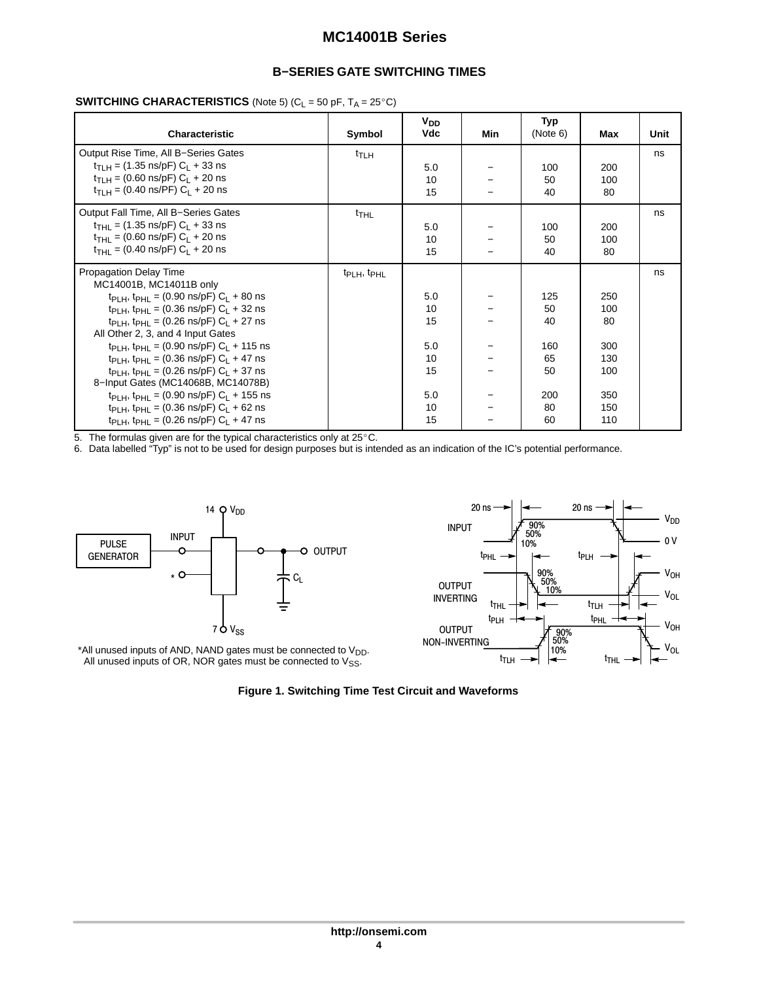## **B−SERIES GATE SWITCHING TIMES**

## **SWITCHING CHARACTERISTICS** (Note 5)  $(C_L = 50 \text{ pF}, T_A = 25^{\circ}\text{C})$

| <b>Characteristic</b>                                                      | Symbol                              | $V_{DD}$<br>Vdc | Min | Typ<br>(Note 6) | Max | Unit |
|----------------------------------------------------------------------------|-------------------------------------|-----------------|-----|-----------------|-----|------|
| Output Rise Time, All B-Series Gates                                       | $t_{\sf T LH}$                      |                 |     |                 |     | ns   |
| $t_{\text{TI H}} = (1.35 \text{ ns/pF}) C_1 + 33 \text{ ns}$               |                                     | 5.0             |     | 100             | 200 |      |
| $t_{\text{TI H}} = (0.60 \text{ ns/pF}) C_1 + 20 \text{ ns}$               |                                     | 10              |     | 50              | 100 |      |
| $t_{\text{TI H}} = (0.40 \text{ ns/PF}) C_1 + 20 \text{ ns}$               |                                     | 15              |     | 40              | 80  |      |
| Output Fall Time, All B-Series Gates                                       | $t$ THL                             |                 |     |                 |     | ns   |
| $t_{\text{THI}} = (1.35 \text{ ns/pF}) C_1 + 33 \text{ ns}$                |                                     | 5.0             |     | 100             | 200 |      |
| $t_{\text{THI}} = (0.60 \text{ ns/pF}) C_1 + 20 \text{ ns}$                |                                     | 10              |     | 50              | 100 |      |
| $t_{\text{THI}} = (0.40 \text{ ns/pF}) C_1 + 20 \text{ ns}$                |                                     | 15              |     | 40              | 80  |      |
| <b>Propagation Delay Time</b>                                              | t <sub>PLH</sub> , t <sub>PHL</sub> |                 |     |                 |     | ns   |
| MC14001B, MC14011B only                                                    |                                     |                 |     |                 |     |      |
| $t_{\text{PI H}}$ , $t_{\text{PHI}}$ = (0.90 ns/pF) C <sub>1</sub> + 80 ns |                                     | 5.0             |     | 125             | 250 |      |
| t <sub>PLH</sub> , t <sub>PHL</sub> = (0.36 ns/pF) $C_L$ + 32 ns           |                                     | 10              |     | 50              | 100 |      |
| $t_{\text{PI H}}$ , $t_{\text{PHI}}$ = (0.26 ns/pF) C <sub>1</sub> + 27 ns |                                     | 15              |     | 40              | 80  |      |
| All Other 2, 3, and 4 Input Gates                                          |                                     |                 |     |                 |     |      |
| $t_{PIH}$ , $t_{PHI}$ = (0.90 ns/pF) $C_I$ + 115 ns                        |                                     | 5.0             |     | 160             | 300 |      |
| $t_{PIH}$ , $t_{PHI}$ = (0.36 ns/pF) C <sub>1</sub> + 47 ns                |                                     | 10              |     | 65              | 130 |      |
| $t_{PIH}$ , $t_{PHI}$ = (0.26 ns/pF) $C_I$ + 37 ns                         |                                     | 15              |     | 50              | 100 |      |
| 8-Input Gates (MC14068B, MC14078B)                                         |                                     |                 |     |                 |     |      |
| $tp1$ H, $tpH1 = (0.90 \text{ ns/pF}) C1 + 155 \text{ ns}$                 |                                     | 5.0             |     | 200             | 350 |      |
| $t_{PIH}$ , $t_{PHI}$ = (0.36 ns/pF) $C_I$ + 62 ns                         |                                     | 10              |     | 80              | 150 |      |
| t <sub>PLH</sub> , t <sub>PHL</sub> = (0.26 ns/pF) $C_L$ + 47 ns           |                                     | 15              |     | 60              | 110 |      |

1<br>5. The formulas given are for the typical characteristics only at 25°C.

6. Data labelled "Typ" is not to be used for design purposes but is intended as an indication of the IC's potential performance.



\*All unused inputs of AND, NAND gates must be connected to  $V_{DD}$ . All unused inputs of OR, NOR gates must be connected to  $V_{SS}$ .



**Figure 1. Switching Time Test Circuit and Waveforms**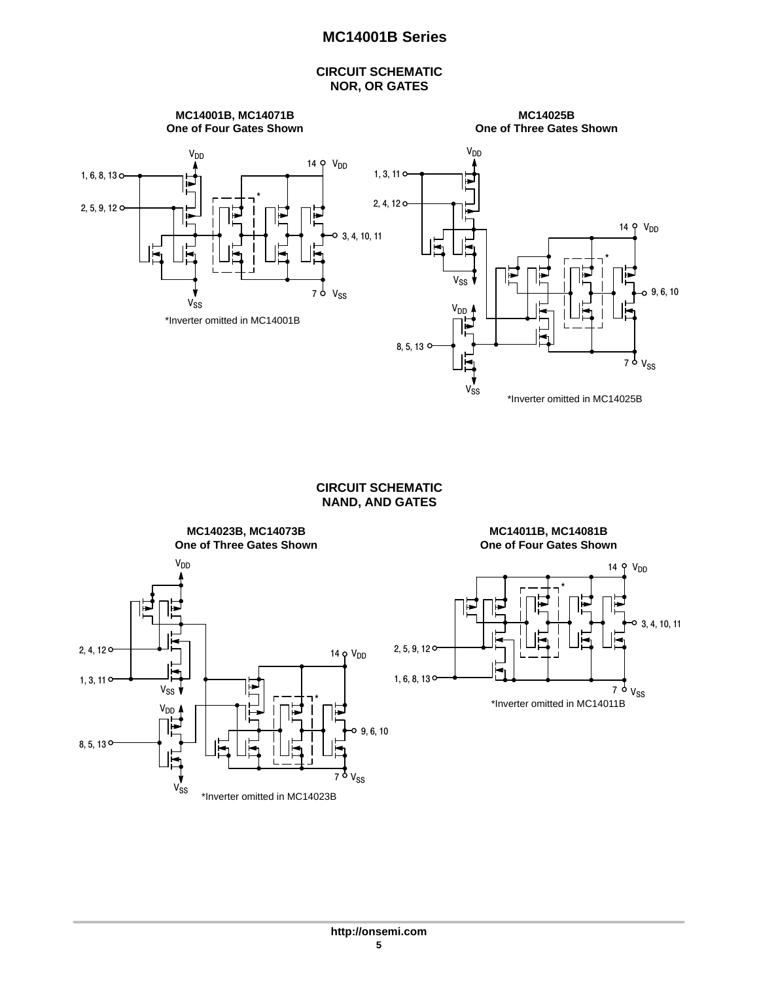## **CIRCUIT SCHEMATIC NOR, OR GATES**



## **CIRCUIT SCHEMATIC NAND, AND GATES**



**MC14011B, MC14081B One of Four Gates Shown**

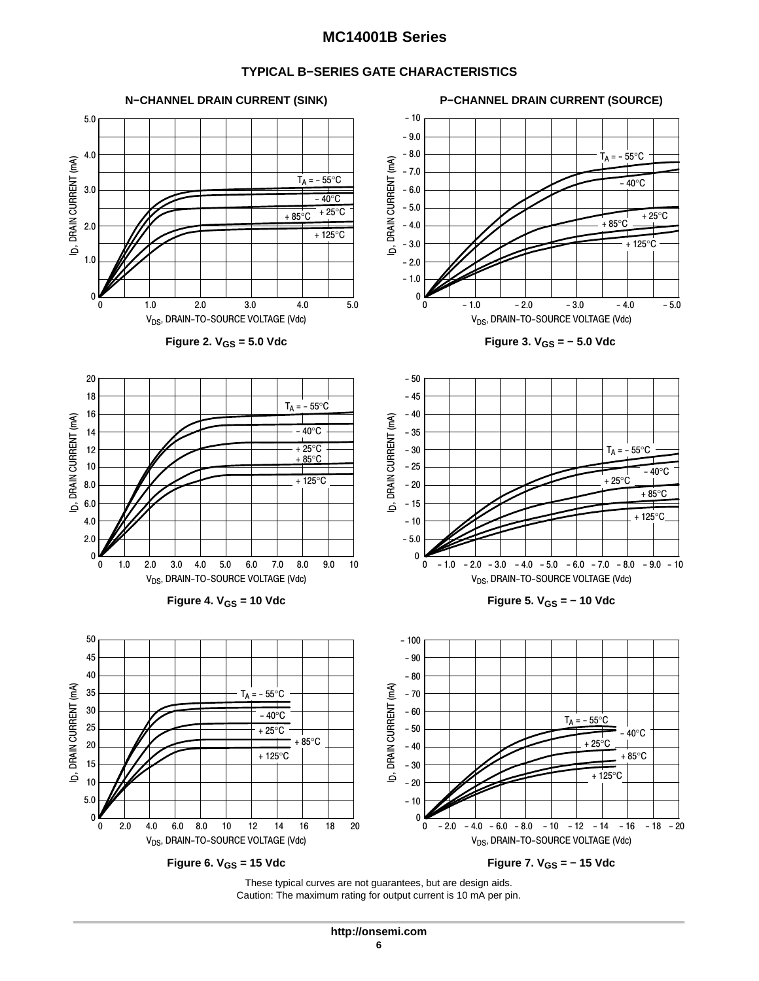## **TYPICAL B−SERIES GATE CHARACTERISTICS**



Caution: The maximum rating for output current is 10 mA per pin.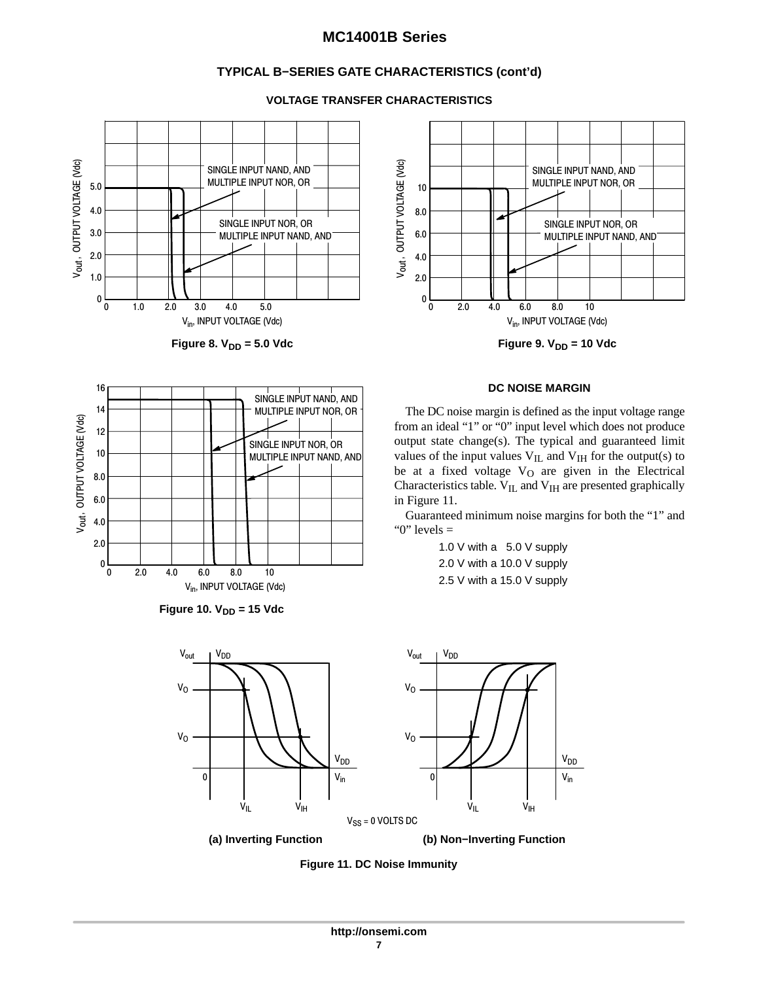## **TYPICAL B−SERIES GATE CHARACTERISTICS (cont'd)**



V<sub>out ,</sub> OUTPUT VOLTAGE (Vdc)

V<sub>out</sub>, OUTPUT VOLTAGE (Vdc)

#### **VOLTAGE TRANSFER CHARACTERISTICS**





The DC noise margin is defined as the input voltage range from an ideal "1" or "0" input level which does not produce output state change(s). The typical and guaranteed limit values of the input values  $V_{IL}$  and  $V_{IH}$  for the output(s) to be at a fixed voltage  $V_O$  are given in the Electrical Characteristics table. V<sub>IL</sub> and V<sub>IH</sub> are presented graphically in Figure 11.

Guaranteed minimum noise margins for both the "1" and " $0$ " levels  $=$ 

> 1.0 V with a 5.0 V supply 2.0 V with a 10.0 V supply 2.5 V with a 15.0 V supply







**Figure 11. DC Noise Immunity**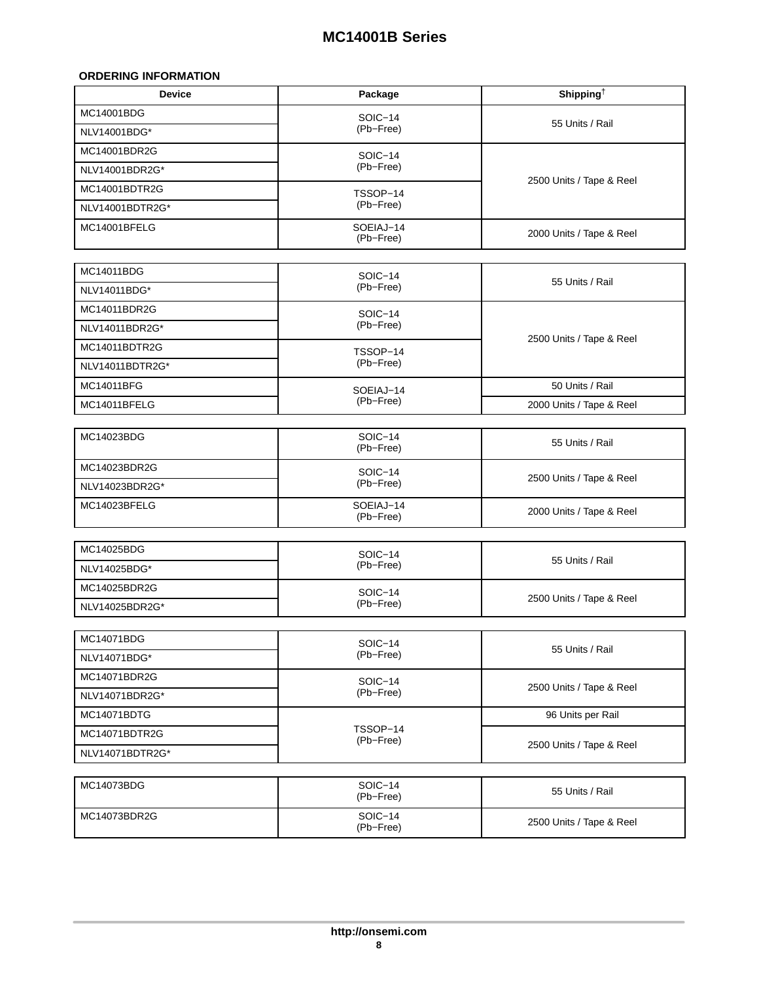## <span id="page-7-0"></span>**ORDERING INFORMATION**

| <b>Device</b>   | Package                | Shipping <sup>†</sup>    |  |  |
|-----------------|------------------------|--------------------------|--|--|
| MC14001BDG      | SOIC-14                | 55 Units / Rail          |  |  |
| NLV14001BDG*    | (Pb-Free)              |                          |  |  |
| MC14001BDR2G    | SOIC-14                |                          |  |  |
| NLV14001BDR2G*  | (Pb-Free)              |                          |  |  |
| MC14001BDTR2G   | TSSOP-14               | 2500 Units / Tape & Reel |  |  |
| NLV14001BDTR2G* | (Pb-Free)              |                          |  |  |
| MC14001BFELG    | SOEIAJ-14<br>(Pb-Free) | 2000 Units / Tape & Reel |  |  |
| MC14011BDG      | SOIC-14                |                          |  |  |
| NLV14011BDG*    | (Pb-Free)              | 55 Units / Rail          |  |  |
| MC14011BDR2G    | SOIC-14                |                          |  |  |
| NLV14011BDR2G*  | (Pb-Free)              |                          |  |  |
| MC14011BDTR2G   | TSSOP-14               | 2500 Units / Tape & Reel |  |  |
| NLV14011BDTR2G* | (Pb-Free)              |                          |  |  |
| MC14011BFG      | SOEIAJ-14              | 50 Units / Rail          |  |  |
| MC14011BFELG    | (Pb-Free)              | 2000 Units / Tape & Reel |  |  |
|                 |                        |                          |  |  |
| MC14023BDG      | SOIC-14<br>(Pb-Free)   | 55 Units / Rail          |  |  |
| MC14023BDR2G    | SOIC-14                | 2500 Units / Tape & Reel |  |  |
| NLV14023BDR2G*  | (Pb-Free)              |                          |  |  |
| MC14023BFELG    | SOEIAJ-14<br>(Pb-Free) | 2000 Units / Tape & Reel |  |  |
| MC14025BDG      |                        |                          |  |  |
| NLV14025BDG*    | SOIC-14<br>(Pb-Free)   | 55 Units / Rail          |  |  |
| MC14025BDR2G    |                        |                          |  |  |
| NLV14025BDR2G*  | SOIC-14<br>(Pb-Free)   | 2500 Units / Tape & Reel |  |  |
|                 |                        |                          |  |  |
| MC14071BDG      | SOIC-14                |                          |  |  |
| NLV14071BDG*    | (Pb-Free)              | 55 Units / Rail          |  |  |
| MC14071BDR2G    | SOIC-14                |                          |  |  |
| NLV14071BDR2G*  | (Pb-Free)              | 2500 Units / Tape & Reel |  |  |
| MC14071BDTG     |                        | 96 Units per Rail        |  |  |
| MC14071BDTR2G   | TSSOP-14               |                          |  |  |
| NLV14071BDTR2G* | (Pb-Free)              | 2500 Units / Tape & Reel |  |  |
|                 |                        |                          |  |  |
| MC14073BDG      | SOIC-14<br>(Pb-Free)   | 55 Units / Rail          |  |  |
| MC14073BDR2G    | SOIC-14<br>(Pb-Free)   | 2500 Units / Tape & Reel |  |  |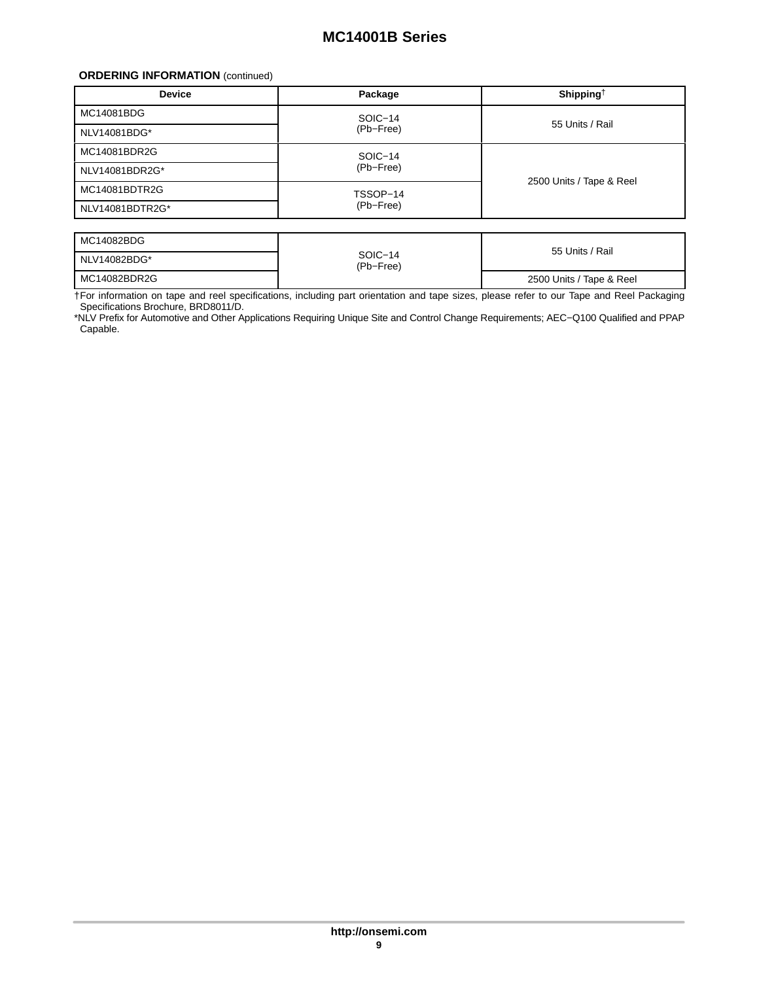#### **ORDERING INFORMATION** (continued)

| <b>Device</b>   | Package   | Shipping <sup>†</sup>    |  |  |
|-----------------|-----------|--------------------------|--|--|
| MC14081BDG      | SOIC-14   |                          |  |  |
| NLV14081BDG*    | (Pb-Free) | 55 Units / Rail          |  |  |
| MC14081BDR2G    | SOIC-14   |                          |  |  |
| NLV14081BDR2G*  | (Pb-Free) | 2500 Units / Tape & Reel |  |  |
| MC14081BDTR2G   | TSSOP-14  |                          |  |  |
| NLV14081BDTR2G* | (Pb-Free) |                          |  |  |

| MC14082BDG   |                      |                          |
|--------------|----------------------|--------------------------|
| NLV14082BDG* | SOIC-14<br>(Pb-Free) | 55 Units / Rail          |
| MC14082BDR2G |                      | 2500 Units / Tape & Reel |

†For information on tape and reel specifications, including part orientation and tape sizes, please refer to our Tape and Reel Packaging Specifications Brochure, BRD8011/D.

\*NLV Prefix for Automotive and Other Applications Requiring Unique Site and Control Change Requirements; AEC−Q100 Qualified and PPAP Capable.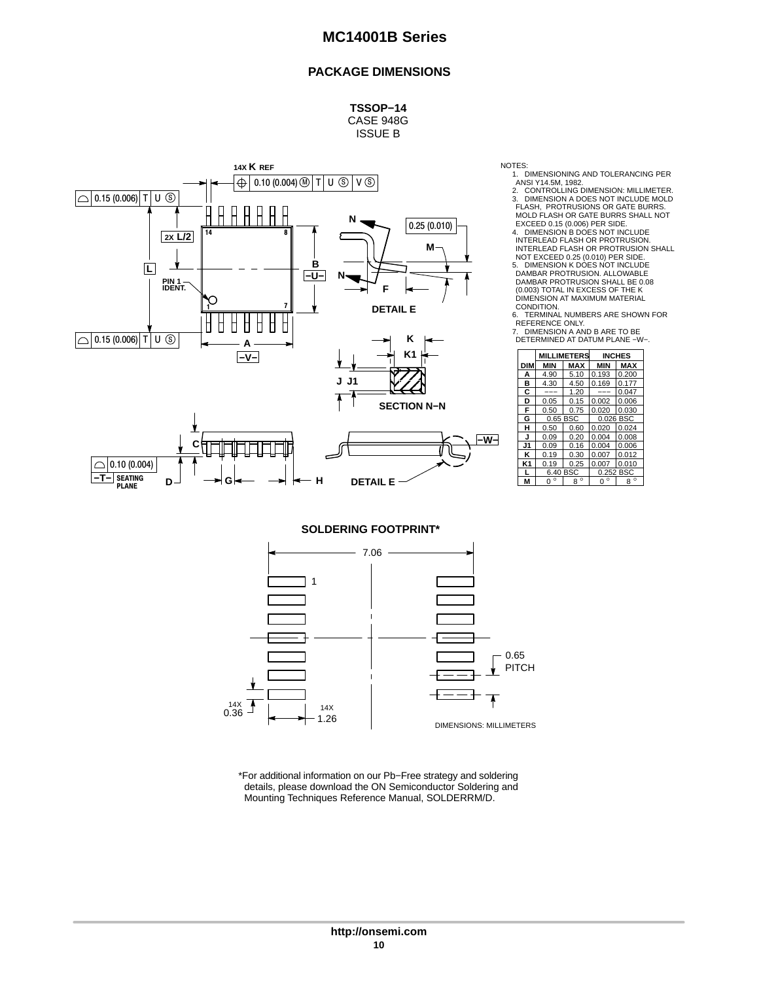#### **PACKAGE DIMENSIONS**

**TSSOP−14** CASE 948G ISSUE B



NOTES: 1. DIMENSIONING AND TOLERANCING PER

ANSI Y14.5M, 1982. 2. CONTROLLING DIMENSION: MILLIMETER. 3. DIMENSION A DOES NOT INCLUDE MOLD FLASH, PROTRUSIONS OR GATE BURRS.

MOLD FLASH OR GATE BURRS SHALL NOT<br>EXCEED 0.15 (0.006) PER SIDE.<br>4. DIMENSION B DOES NOT INCLUDE<br>INTERLEAD FLASH OR PROTRUSION.<br>INTERLEAD FLASH OR PROTRUSION SHALL<br>NOT EXCEED 0.25 (0.010) PER SIDE.<br>5. DIMENSION K DOES NOT

(0.003) TOTAL IN EXCESS OF THE K DIMENSION AT MAXIMUM MATERIAL

CONDITION. 6. TERMINAL NUMBERS ARE SHOWN FOR

REFERENCE ONLY. 7. DIMENSION A AND B ARE TO BE DETERMINED AT DATUM PLANE −W−.

| K1<br><b>MILLIMETERS</b><br><b>INCHES</b><br><b>MAX</b><br><b>MAX</b><br><b>MIN</b><br><b>MIN</b><br><b>DIM</b><br>5.10<br>0.193<br>0.200<br>4.90<br>А<br>в<br>4.50<br>0.169<br>4.30<br>0.177<br>с<br>1.20<br>0.047<br>---<br>---<br>0.15<br>0.006<br>D<br>0.05<br>0.002<br><b>SECTION N-N</b><br>F<br>0.75<br>0.020<br>0.030<br>0.50<br>G<br>0.65 BSC<br>0.026 BSC<br>н<br>0.60<br>0.024<br>0.50<br>0.020<br>0.20<br>0.09<br>0.004<br>0.008<br>J<br>∣–W–<br>J1<br>0.16<br>0.09<br>0.004<br>0.006<br>κ<br>0.30<br>0.19<br>0.007<br>0.012<br>K1<br>0.25<br>0.007<br>0.010<br>0.19<br>6.40 BSC<br>0.252 BSC<br>$8^{\circ}$<br>$0^{\circ}$<br>$8^{\circ}$<br>$\circ$<br>М<br>$\Omega$ |  |  |  |  |  |
|------------------------------------------------------------------------------------------------------------------------------------------------------------------------------------------------------------------------------------------------------------------------------------------------------------------------------------------------------------------------------------------------------------------------------------------------------------------------------------------------------------------------------------------------------------------------------------------------------------------------------------------------------------------------------------|--|--|--|--|--|
|                                                                                                                                                                                                                                                                                                                                                                                                                                                                                                                                                                                                                                                                                    |  |  |  |  |  |
|                                                                                                                                                                                                                                                                                                                                                                                                                                                                                                                                                                                                                                                                                    |  |  |  |  |  |
|                                                                                                                                                                                                                                                                                                                                                                                                                                                                                                                                                                                                                                                                                    |  |  |  |  |  |
|                                                                                                                                                                                                                                                                                                                                                                                                                                                                                                                                                                                                                                                                                    |  |  |  |  |  |
|                                                                                                                                                                                                                                                                                                                                                                                                                                                                                                                                                                                                                                                                                    |  |  |  |  |  |
|                                                                                                                                                                                                                                                                                                                                                                                                                                                                                                                                                                                                                                                                                    |  |  |  |  |  |
|                                                                                                                                                                                                                                                                                                                                                                                                                                                                                                                                                                                                                                                                                    |  |  |  |  |  |
|                                                                                                                                                                                                                                                                                                                                                                                                                                                                                                                                                                                                                                                                                    |  |  |  |  |  |
|                                                                                                                                                                                                                                                                                                                                                                                                                                                                                                                                                                                                                                                                                    |  |  |  |  |  |
|                                                                                                                                                                                                                                                                                                                                                                                                                                                                                                                                                                                                                                                                                    |  |  |  |  |  |
|                                                                                                                                                                                                                                                                                                                                                                                                                                                                                                                                                                                                                                                                                    |  |  |  |  |  |
|                                                                                                                                                                                                                                                                                                                                                                                                                                                                                                                                                                                                                                                                                    |  |  |  |  |  |
|                                                                                                                                                                                                                                                                                                                                                                                                                                                                                                                                                                                                                                                                                    |  |  |  |  |  |
|                                                                                                                                                                                                                                                                                                                                                                                                                                                                                                                                                                                                                                                                                    |  |  |  |  |  |
|                                                                                                                                                                                                                                                                                                                                                                                                                                                                                                                                                                                                                                                                                    |  |  |  |  |  |

**SOLDERING FOOTPRINT\***



\*For additional information on our Pb−Free strategy and soldering details, please download the ON Semiconductor Soldering and Mounting Techniques Reference Manual, SOLDERRM/D.